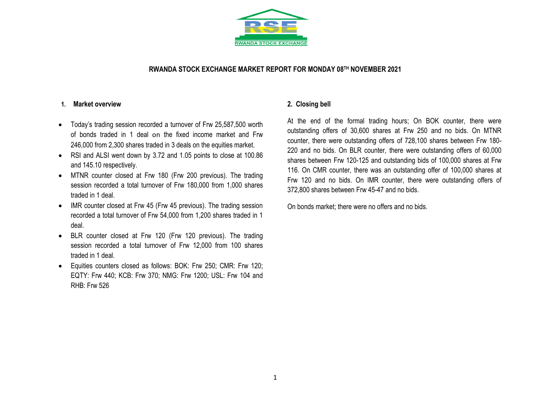

### **RWANDA STOCK EXCHANGE MARKET REPORT FOR MONDAY 08 TH NOVEMBER 2021**

#### **1. Market overview**

- Today's trading session recorded a turnover of Frw 25,587,500 worth of bonds traded in 1 deal on the fixed income market and Frw 246,000 from 2,300 shares traded in 3 deals on the equities market.
- RSI and ALSI went down by 3.72 and 1.05 points to close at 100.86 and 145.10 respectively.
- MTNR counter closed at Frw 180 (Frw 200 previous). The trading session recorded a total turnover of Frw 180,000 from 1,000 shares traded in 1 deal.
- IMR counter closed at Frw 45 (Frw 45 previous). The trading session recorded a total turnover of Frw 54,000 from 1,200 shares traded in 1 deal.
- BLR counter closed at Frw 120 (Frw 120 previous). The trading session recorded a total turnover of Frw 12,000 from 100 shares traded in 1 deal.
- Equities counters closed as follows: BOK: Frw 250; CMR: Frw 120; EQTY: Frw 440; KCB: Frw 370; NMG: Frw 1200; USL: Frw 104 and RHB: Frw 526

### **2. Closing bell**

At the end of the formal trading hours; On BOK counter, there were outstanding offers of 30,600 shares at Frw 250 and no bids. On MTNR counter, there were outstanding offers of 728,100 shares between Frw 180- 220 and no bids. On BLR counter, there were outstanding offers of 60,000 shares between Frw 120-125 and outstanding bids of 100,000 shares at Frw 116. On CMR counter, there was an outstanding offer of 100,000 shares at Frw 120 and no bids. On IMR counter, there were outstanding offers of 372,800 shares between Frw 45-47 and no bids.

On bonds market; there were no offers and no bids.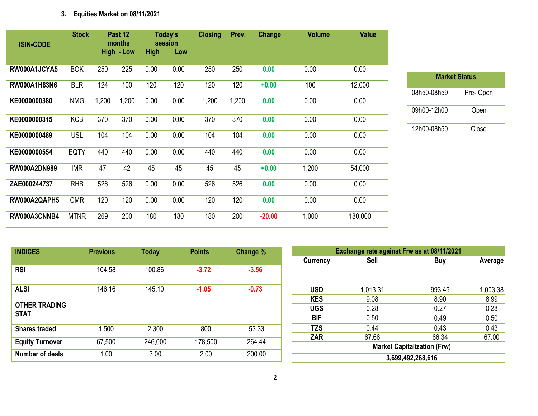# **3. Equities Market on 08/11/2021**

| <b>ISIN-CODE</b>    | <b>Stock</b> |       | Past 12<br>months<br><b>High - Low</b> | <b>High</b> | Today's<br>session<br>Low | <b>Closing</b> | Prev. | Change   | <b>Volume</b> | <b>Value</b> |
|---------------------|--------------|-------|----------------------------------------|-------------|---------------------------|----------------|-------|----------|---------------|--------------|
| RW000A1JCYA5        | <b>BOK</b>   | 250   | 225                                    | 0.00        | 0.00                      | 250            | 250   | 0.00     | 0.00          | 0.00         |
| RW000A1H63N6        | <b>BLR</b>   | 124   | 100                                    | 120         | 120                       | 120            | 120   | $+0.00$  | 100           | 12,000       |
| KE0000000380        | <b>NMG</b>   | 1,200 | 1,200                                  | 0.00        | 0.00                      | 1,200          | 1,200 | 0.00     | 0.00          | 0.00         |
| KE0000000315        | <b>KCB</b>   | 370   | 370                                    | 0.00        | 0.00                      | 370            | 370   | 0.00     | 0.00          | 0.00         |
| KE0000000489        | <b>USL</b>   | 104   | 104                                    | 0.00        | 0.00                      | 104            | 104   | 0.00     | 0.00          | 0.00         |
| KE0000000554        | <b>EQTY</b>  | 440   | 440                                    | 0.00        | 0.00                      | 440            | 440   | 0.00     | 0.00          | 0.00         |
| <b>RW000A2DN989</b> | <b>IMR</b>   | 47    | 42                                     | 45          | 45                        | 45             | 45    | $+0.00$  | 1,200         | 54,000       |
| ZAE000244737        | <b>RHB</b>   | 526   | 526                                    | 0.00        | 0.00                      | 526            | 526   | 0.00     | 0.00          | 0.00         |
| RW000A2QAPH5        | <b>CMR</b>   | 120   | 120                                    | 0.00        | 0.00                      | 120            | 120   | 0.00     | 0.00          | 0.00         |
| RW000A3CNNB4        | <b>MTNR</b>  | 269   | 200                                    | 180         | 180                       | 180            | 200   | $-20.00$ | 1,000         | 180,000      |

| <b>Market Status</b> |          |  |  |  |  |  |  |  |  |
|----------------------|----------|--|--|--|--|--|--|--|--|
| 08h50-08h59          | Pre-Open |  |  |  |  |  |  |  |  |
| 09h00-12h00          | Open     |  |  |  |  |  |  |  |  |
| 12h00-08h50          | Close    |  |  |  |  |  |  |  |  |

| <b>INDICES</b>                      | <b>Previous</b> | <b>Today</b> | <b>Points</b> | Change % |
|-------------------------------------|-----------------|--------------|---------------|----------|
| <b>RSI</b>                          | 104.58          | 100.86       | $-3.72$       | $-3.56$  |
| <b>ALSI</b>                         | 146.16          | 145.10       | $-1.05$       | $-0.73$  |
| <b>OTHER TRADING</b><br><b>STAT</b> |                 |              |               |          |
| <b>Shares traded</b>                | 1,500           | 2,300        | 800           | 53.33    |
| <b>Equity Turnover</b>              | 67,500          | 246,000      | 178,500       | 264.44   |
| <b>Number of deals</b>              | 1.00            | 3.00         | 2.00          | 200.00   |

| Exchange rate against Frw as at 08/11/2021 |                                    |        |          |  |  |  |  |  |  |
|--------------------------------------------|------------------------------------|--------|----------|--|--|--|--|--|--|
| Currency                                   | <b>Sell</b>                        | Buy    | Average  |  |  |  |  |  |  |
|                                            |                                    |        |          |  |  |  |  |  |  |
|                                            |                                    |        |          |  |  |  |  |  |  |
| <b>USD</b>                                 | 1,013.31                           | 993.45 | 1,003.38 |  |  |  |  |  |  |
| <b>KES</b>                                 | 9.08                               | 8.90   | 8.99     |  |  |  |  |  |  |
| <b>UGS</b>                                 | 0.28                               | 0.27   | 0.28     |  |  |  |  |  |  |
| BIF                                        | 0.50                               | 0.49   | 0.50     |  |  |  |  |  |  |
| <b>TZS</b>                                 | 0.44                               | 0.43   | 0.43     |  |  |  |  |  |  |
| <b>ZAR</b>                                 | 67.66                              | 66.34  | 67.00    |  |  |  |  |  |  |
|                                            | <b>Market Capitalization (Frw)</b> |        |          |  |  |  |  |  |  |
|                                            | 3,699,492,268,616                  |        |          |  |  |  |  |  |  |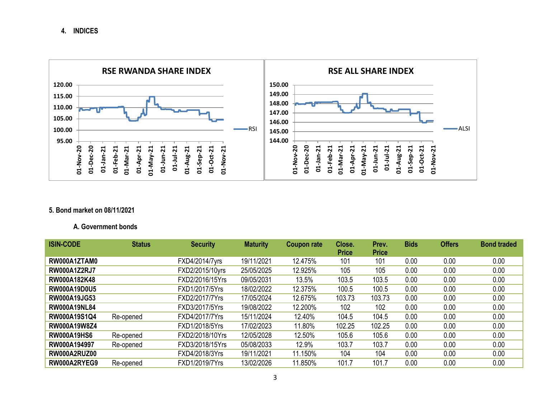**4. INDICES**



## **5. Bond market on 08/11/2021**

### **A. Government bonds**

| <b>ISIN-CODE</b>    | <b>Status</b> | <b>Security</b> | <b>Maturity</b> | <b>Coupon rate</b> | Close.<br><b>Price</b> | Prev.<br><b>Price</b> | Bids | <b>Offers</b> | <b>Bond traded</b> |
|---------------------|---------------|-----------------|-----------------|--------------------|------------------------|-----------------------|------|---------------|--------------------|
|                     |               |                 |                 |                    |                        |                       |      |               |                    |
| RW000A1ZTAM0        |               | FXD4/2014/7yrs  | 19/11/2021      | 12.475%            | 101                    | 101                   | 0.00 | 0.00          | 0.00               |
| <b>RW000A1Z2RJ7</b> |               | FXD2/2015/10yrs | 25/05/2025      | 12.925%            | 105                    | 105                   | 0.00 | 0.00          | 0.00               |
| RW000A182K48        |               | FXD2/2016/15Yrs | 09/05/2031      | 13.5%              | 103.5                  | 103.5                 | 0.00 | 0.00          | 0.00               |
| <b>RW000A19D0U5</b> |               | FXD1/2017/5Yrs  | 18/02/2022      | 12.375%            | 100.5                  | 100.5                 | 0.00 | 0.00          | 0.00               |
| <b>RW000A19JG53</b> |               | FXD2/2017/7Yrs  | 17/05/2024      | 12.675%            | 103.73                 | 103.73                | 0.00 | 0.00          | 0.00               |
| <b>RW000A19NL84</b> |               | FXD3/2017/5Yrs  | 19/08/2022      | 12.200%            | 102                    | 102                   | 0.00 | 0.00          | 0.00               |
| RW000A19S1Q4        | Re-opened     | FXD4/2017/7Yrs  | 15/11/2024      | 12.40%             | 104.5                  | 104.5                 | 0.00 | 0.00          | 0.00               |
| <b>RW000A19W8Z4</b> |               | FXD1/2018/5Yrs  | 17/02/2023      | 11.80%             | 102.25                 | 102.25                | 0.00 | 0.00          | 0.00               |
| <b>RW000A19HS6</b>  | Re-opened     | FXD2/2018/10Yrs | 12/05/2028      | 12.50%             | 105.6                  | 105.6                 | 0.00 | 0.00          | 0.00               |
| RW000A194997        | Re-opened     | FXD3/2018/15Yrs | 05/08/2033      | 12.9%              | 103.7                  | 103.7                 | 0.00 | 0.00          | 0.00               |
| RW000A2RUZ00        |               | FXD4/2018/3Yrs  | 19/11/2021      | 11.150%            | 104                    | 104                   | 0.00 | 0.00          | 0.00               |
| RW000A2RYEG9        | Re-opened     | FXD1/2019/7Yrs  | 13/02/2026      | 11.850%            | 101.7                  | 101.7                 | 0.00 | 0.00          | 0.00               |